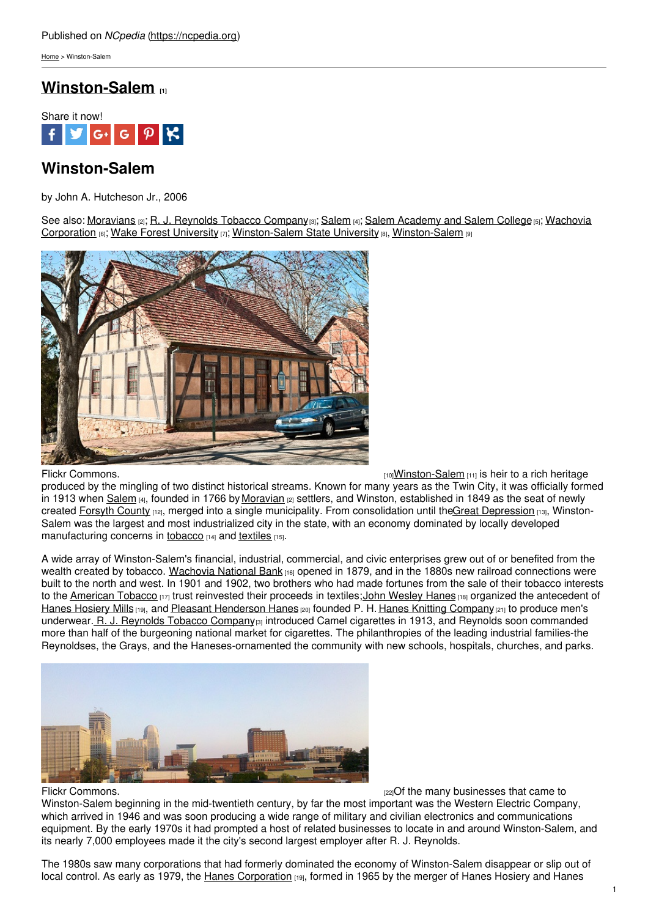[Home](https://ncpedia.org/) > Winston-Salem

## **[Winston-Salem](https://ncpedia.org/winston-salem) [1]**



# **Winston-Salem**

by John A. Hutcheson Jr., 2006

See also: [Moravians](https://ncpedia.org/moravians) [2]; R. J. [Reynolds](https://ncpedia.org/r-j-reynolds-tobacco-company) Tobacco Company[3]; [Salem](https://ncpedia.org/salem) [4]; Salem [Academy](https://ncpedia.org/salem-academy-and-salem-college) and Salem College [5]; Wachovia Corporation  $_{[6]}$ ; Wake Forest [University](https://ncpedia.org/wake-forest-university)  $_{[7]}$ ; [Winston-Salem](https://ncpedia.org/geography/winston-salem) State University  $_{[8]}$ , Winston-Salem  $_{[9]}$ 



Flickr [Commons.](https://www.flickr.com/photos/sminor/3808529572/) The commons of the commons of the commons of the commons of the commons of the common state of the common state of the common state of the common state of the common state of the common state of the common

produced by the mingling of two distinct historical streams. Known for many years as the Twin City, it was officially formed in 1913 when [Salem](https://ncpedia.org/salem) [4], founded in 1766 by [Moravian](https://ncpedia.org/moravians) [2] settlers, and Winston, established in 1849 as the seat of newly created [Forsyth](https://ncpedia.org/geography/forsyth) County [12], merged into a single municipality. From consolidation until theGreat [Depression](https://ncpedia.org/history/20th-Century/great-depression) [13], Winston-Salem was the largest and most industrialized city in the state, with an economy dominated by locally developed manufacturing concerns in [tobacco](https://ncpedia.org/tobacco) [14] and [textiles](https://ncpedia.org/textiles) [15].

A wide array of Winston-Salem's financial, industrial, commercial, and civic enterprises grew out of or benefited from the wealth created by tobacco. [Wachovia](https://www.wellsfargo.com/about/corporate/wachovia) National Bank [16] opened in 1879, and in the 1880s new railroad connections were built to the north and west. In 1901 and 1902, two brothers who had made fortunes from the sale of their tobacco interests to the [American](https://ncpedia.org/american-tobacco-company) Tobacco [17] trust reinvested their proceeds in textiles; John [Wesley](https://ncpedia.org/biography/hanes-john-wesley) Hanes [18] organized the antecedent of Hanes [Hosiery](https://ncpedia.org/hanes-brands) Mills [19], and Pleasant [Henderson](https://ncpedia.org/biography/hanes-pleasant-henderson) Hanes [20] founded P. H. Hanes Knitting [Company](http://www.digitalforsyth.org/photos/browse/business-industry-businesses-ph-hanes-knitting-company) [21] to produce men's underwear. R. J. [Reynolds](https://ncpedia.org/r-j-reynolds-tobacco-company) Tobacco Company<sup>[3]</sup> introduced Camel cigarettes in 1913, and Reynolds soon commanded more than half of the burgeoning national market for cigarettes. The philanthropies of the leading industrial families-the Reynoldses, the Grays, and the Haneses-ornamented the community with new schools, hospitals, churches, and parks.



Flickr [Commons.](https://www.flickr.com/photos/vanherdehaage/7956575934/) The many businesses that came to have not reach that came to have not reach that came to have to

Winston-Salem beginning in the mid-twentieth century, by far the most important was the Western Electric Company, which arrived in 1946 and was soon producing a wide range of military and civilian electronics and communications equipment. By the early 1970s it had prompted a host of related businesses to locate in and around Winston-Salem, and its nearly 7,000 employees made it the city's second largest employer after R. J. Reynolds.

The 1980s saw many corporations that had formerly dominated the economy of Winston-Salem disappear or slip out of local control. As early as 1979, the Hanes [Corporation](https://ncpedia.org/hanes-brands) [19], formed in 1965 by the merger of Hanes Hosiery and Hanes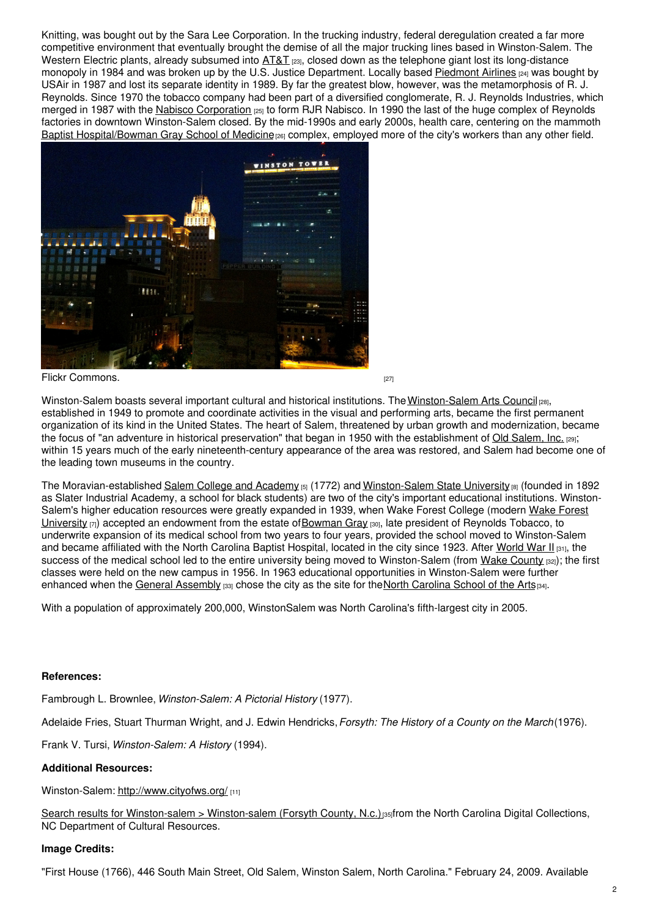Knitting, was bought out by the Sara Lee Corporation. In the trucking industry, federal deregulation created a far more competitive environment that eventually brought the demise of all the major trucking lines based in Winston-Salem. The Western Electric plants, already subsumed into  $AT&T_{[23]}$  $AT&T_{[23]}$ , closed down as the telephone giant lost its long-distance monopoly in 1984 and was broken up by the U.S. Justice Department. Locally based [Piedmont](http://piedmont-airlines.com/Our-Company/History) Airlines [24] was bought by USAir in 1987 and lost its separate identity in 1989. By far the greatest blow, however, was the metamorphosis of R. J. Reynolds. Since 1970 the tobacco company had been part of a diversified conglomerate, R. J. Reynolds Industries, which merged in 1987 with the Nabisco [Corporation](http://www.britannica.com/EBchecked/topic/505031/RJR-Nabisco-Inc)  $_{[25]}$  to form RJR Nabisco. In 1990 the last of the huge complex of Reynolds factories in downtown Winston-Salem closed. By the mid-1990s and early 2000s, health care, centering on the mammoth Baptist [Hospital/Bowman](http://www.wakehealth.edu/index.htm) Gray School of Medicine<sup>[26]</sup> complex, employed more of the city's workers than any other field.



Flickr [Commons.](https://www.flickr.com/photos/cellphonesusie/4984618383/) [27]

[Winston-Salem](http://www.intothearts.org/) boasts several important cultural and historical institutions. The Winston-Salem Arts Council <sub>[28]</sub>, established in 1949 to promote and coordinate activities in the visual and performing arts, became the first permanent organization of its kind in the United States. The heart of Salem, threatened by urban growth and modernization, became the focus of "an adventure in historical preservation" that began in 1950 with the establishment of Old [Salem,](http://www.oldsalem.org/) Inc. [29]; within 15 years much of the early nineteenth-century appearance of the area was restored, and Salem had become one of the leading town museums in the country.

The Moravian-established Salem College and [Academy](https://ncpedia.org/salem-academy-and-salem-college) [5] (1772) and [Winston-Salem](https://ncpedia.org/winston-salem-state-university) State University [8] (founded in 1892 as Slater Industrial Academy, a school for black students) are two of the city's important educational institutions. Winston-Salem's higher education resources were greatly expanded in 1939, when Wake Forest College (modern Wake Forest University  $[7]$ ) accepted an [endowment](https://ncpedia.org/wake-forest-university) from the estate of [Bowman](https://www.wfu.edu/history/HST_WFU/gray.htm) Gray  $[30]$ , late president of Reynolds Tobacco, to underwrite expansion of its medical school from two years to four years, provided the school moved to Winston-Salem and became affiliated with the North Carolina Baptist Hospital, located in the city since 1923. After [World](https://ncpedia.org/world-war-ii) War II [31], the success of the medical school led to the entire university being moved to Winston-Salem (from Wake [County](https://ncpedia.org/geography/wake) [32]); the first classes were held on the new campus in 1956. In 1963 educational opportunities in Winston-Salem were further enhanced when the General [Assembly](https://ncpedia.org/general-assembly) [33] chose the city as the site for the North [Carolina](https://ncpedia.org/north-carolina-school-arts) School of the Arts[34].

With a population of approximately 200,000, WinstonSalem was North Carolina's fifth-largest city in 2005.

## **References:**

Fambrough L. Brownlee, *Winston-Salem: A Pictorial History* (1977).

Adelaide Fries, Stuart Thurman Wright, and J. Edwin Hendricks,*Forsyth: The History of a County on the March*(1976).

Frank V. Tursi, *Winston-Salem: A History* (1994).

## **Additional Resources:**

Winston-Salem: <http://www.cityofws.org/> [11]

Search results for [Winston-salem](http://digital.ncdcr.gov/cdm4/results.php?CISOOP1=exact&CISOBOX1=winston-salem&CISOFIELD1=CISOSEARCHALL&CISOOP2=all&CISOBOX2=winston-salem+%28forsyth+county%2C+n.c.%29&CISOFIELD2=coveraa&CISOROOT=all&t=s) > Winston-salem (Forsyth County, N.c.)[35]from the North Carolina Digital Collections, NC Department of Cultural Resources.

## **Image Credits:**

"First House (1766), 446 South Main Street, Old Salem, Winston Salem, North Carolina." February 24, 2009. Available